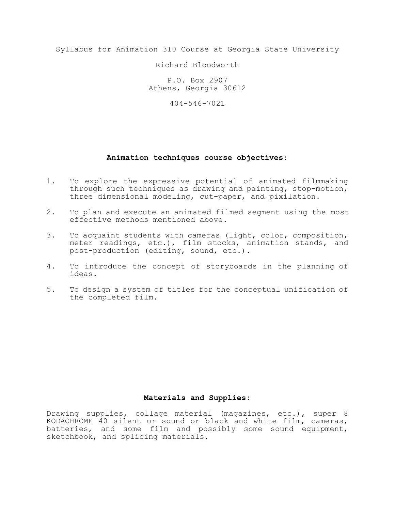Syllabus for Animation 310 Course at Georgia State University

Richard Bloodworth

P.O. Box 2907 Athens, Georgia 30612

404-546-7021

## **Animation techniques course objectives**:

- 1. To explore the expressive potential of animated filmmaking through such techniques as drawing and painting, stop-motion, three dimensional modeling, cut-paper, and pixilation.
- 2. To plan and execute an animated filmed segment using the most effective methods mentioned above.
- 3. To acquaint students with cameras (light, color, composition, meter readings, etc.), film stocks, animation stands, and post-production (editing, sound, etc.).
- 4. To introduce the concept of storyboards in the planning of ideas.
- 5. To design a system of titles for the conceptual unification of the completed film.

## **Materials and Supplies:**

Drawing supplies, collage material (magazines, etc.), super 8 KODACHROME 40 silent or sound or black and white film, cameras, batteries, and some film and possibly some sound equipment, sketchbook, and splicing materials.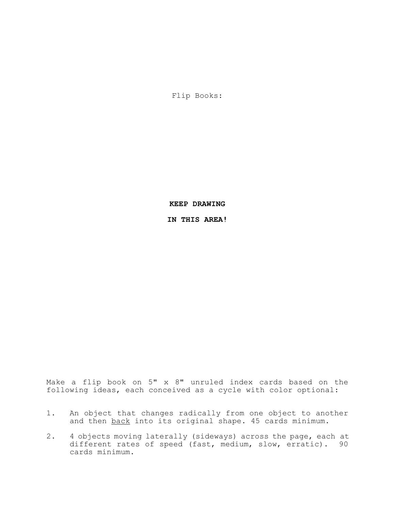Flip Books:

**KEEP DRAWING**

**IN THIS AREA!**

Make a flip book on 5" x 8" unruled index cards based on the following ideas, each conceived as a cycle with color optional:

- 1. An object that changes radically from one object to another and then back into its original shape. 45 cards minimum.
- 2. 4 objects moving laterally (sideways) across the page, each at different rates of speed (fast, medium, slow, erratic). 90 cards minimum.